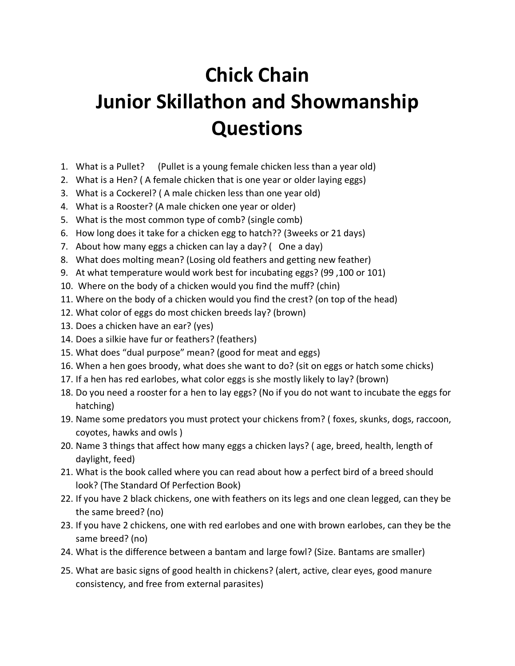## **Chick Chain Junior Skillathon and Showmanship Questions**

- 1. What is a Pullet? (Pullet is a young female chicken less than a year old)
- 2. What is a Hen? ( A female chicken that is one year or older laying eggs)
- 3. What is a Cockerel? ( A male chicken less than one year old)
- 4. What is a Rooster? (A male chicken one year or older)
- 5. What is the most common type of comb? (single comb)
- 6. How long does it take for a chicken egg to hatch?? (3weeks or 21 days)
- 7. About how many eggs a chicken can lay a day? ( One a day)
- 8. What does molting mean? (Losing old feathers and getting new feather)
- 9. At what temperature would work best for incubating eggs? (99 ,100 or 101)
- 10. Where on the body of a chicken would you find the muff? (chin)
- 11. Where on the body of a chicken would you find the crest? (on top of the head)
- 12. What color of eggs do most chicken breeds lay? (brown)
- 13. Does a chicken have an ear? (yes)
- 14. Does a silkie have fur or feathers? (feathers)
- 15. What does "dual purpose" mean? (good for meat and eggs)
- 16. When a hen goes broody, what does she want to do? (sit on eggs or hatch some chicks)
- 17. If a hen has red earlobes, what color eggs is she mostly likely to lay? (brown)
- 18. Do you need a rooster for a hen to lay eggs? (No if you do not want to incubate the eggs for hatching)
- 19. Name some predators you must protect your chickens from? ( foxes, skunks, dogs, raccoon, coyotes, hawks and owls )
- 20. Name 3 things that affect how many eggs a chicken lays? ( age, breed, health, length of daylight, feed)
- 21. What is the book called where you can read about how a perfect bird of a breed should look? (The Standard Of Perfection Book)
- 22. If you have 2 black chickens, one with feathers on its legs and one clean legged, can they be the same breed? (no)
- 23. If you have 2 chickens, one with red earlobes and one with brown earlobes, can they be the same breed? (no)
- 24. What is the difference between a bantam and large fowl? (Size. Bantams are smaller)
- 25. What are basic signs of good health in chickens? (alert, active, clear eyes, good manure consistency, and free from external parasites)